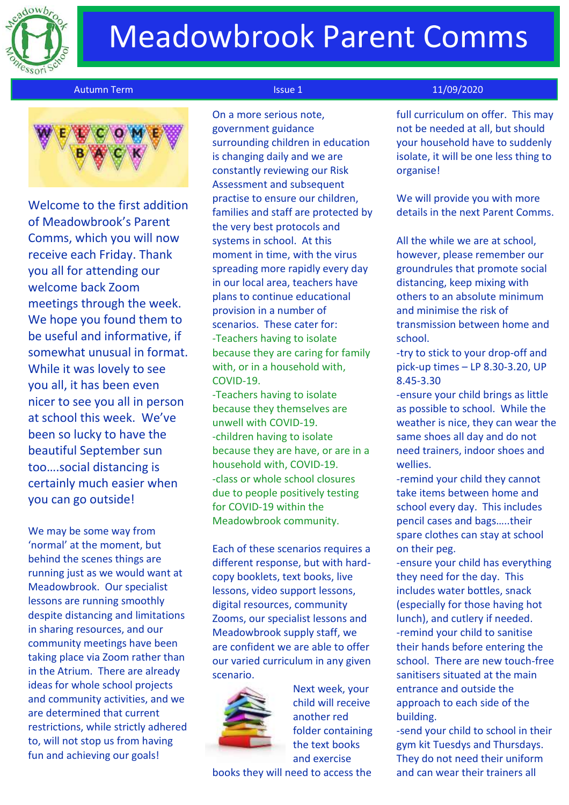

# Meadowbrook Parent Comms

#### Autumn Term Issue 1 11/09/2020



Welcome to the first addition of Meadowbrook's Parent Comms, which you will now receive each Friday. Thank you all for attending our welcome back Zoom meetings through the week. We hope you found them to be useful and informative, if somewhat unusual in format. While it was lovely to see you all, it has been even nicer to see you all in person at school this week. We've been so lucky to have the beautiful September sun too….social distancing is certainly much easier when you can go outside!

We may be some way from 'normal' at the moment, but behind the scenes things are running just as we would want at Meadowbrook. Our specialist lessons are running smoothly despite distancing and limitations in sharing resources, and our community meetings have been taking place via Zoom rather than in the Atrium. There are already ideas for whole school projects and community activities, and we are determined that current restrictions, while strictly adhered to, will not stop us from having fun and achieving our goals!

 On a more serious note, government guidance surrounding children in education is changing daily and we are constantly reviewing our Risk Assessment and subsequent practise to ensure our children, families and staff are protected by the very best protocols and systems in school. At this moment in time, with the virus spreading more rapidly every day in our local area, teachers have plans to continue educational provision in a number of scenarios. These cater for: -Teachers having to isolate because they are caring for family with, or in a household with, COVID-19.

-Teachers having to isolate because they themselves are unwell with COVID-19. -children having to isolate because they are have, or are in a household with, COVID-19. -class or whole school closures due to people positively testing for COVID-19 within the Meadowbrook community.

Each of these scenarios requires a different response, but with hardcopy booklets, text books, live lessons, video support lessons, digital resources, community Zooms, our specialist lessons and Meadowbrook supply staff, we are confident we are able to offer our varied curriculum in any given scenario.



Next week, your child will receive another red folder containing the text books and exercise

books they will need to access the

full curriculum on offer. This may not be needed at all, but should your household have to suddenly isolate, it will be one less thing to organise!

We will provide you with more details in the next Parent Comms.

All the while we are at school, however, please remember our groundrules that promote social distancing, keep mixing with others to an absolute minimum and minimise the risk of transmission between home and school.

-try to stick to your drop-off and pick-up times – LP 8.30-3.20, UP 8.45-3.30

-ensure your child brings as little as possible to school. While the weather is nice, they can wear the same shoes all day and do not need trainers, indoor shoes and wellies.

-remind your child they cannot take items between home and school every day. This includes pencil cases and bags…..their spare clothes can stay at school on their peg.

-ensure your child has everything they need for the day. This includes water bottles, snack (especially for those having hot lunch), and cutlery if needed. -remind your child to sanitise their hands before entering the school. There are new touch-free sanitisers situated at the main entrance and outside the approach to each side of the building.

-send your child to school in their gym kit Tuesdys and Thursdays. They do not need their uniform and can wear their trainers all